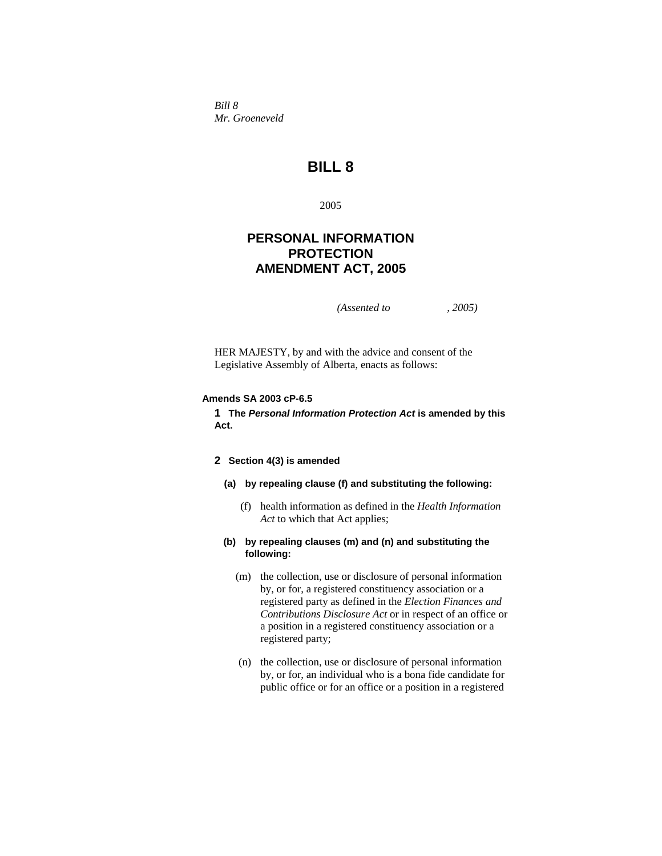*Bill 8 Mr. Groeneveld* 

# **BILL 8**

2005

## **PERSONAL INFORMATION PROTECTION AMENDMENT ACT, 2005**

*(Assented to , 2005)* 

HER MAJESTY, by and with the advice and consent of the Legislative Assembly of Alberta, enacts as follows:

## **Amends SA 2003 cP-6.5**

**1 The** *Personal Information Protection Act* **is amended by this Act.** 

## **2 Section 4(3) is amended**

## **(a) by repealing clause (f) and substituting the following:**

 (f) health information as defined in the *Health Information Act* to which that Act applies;

## **(b) by repealing clauses (m) and (n) and substituting the following:**

- (m) the collection, use or disclosure of personal information by, or for, a registered constituency association or a registered party as defined in the *Election Finances and Contributions Disclosure Act* or in respect of an office or a position in a registered constituency association or a registered party;
- (n) the collection, use or disclosure of personal information by, or for, an individual who is a bona fide candidate for public office or for an office or a position in a registered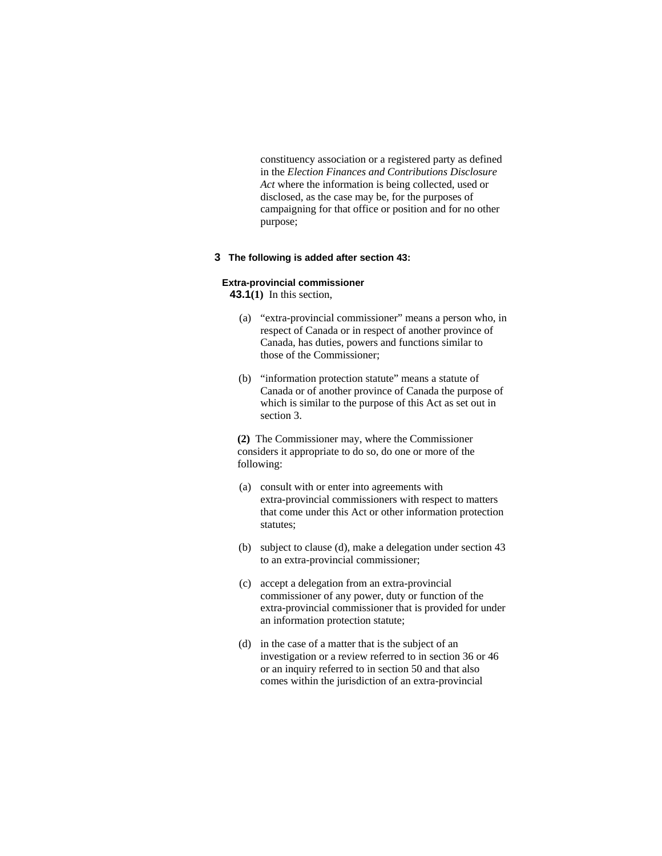constituency association or a registered party as defined in the *Election Finances and Contributions Disclosure Act* where the information is being collected, used or disclosed, as the case may be, for the purposes of campaigning for that office or position and for no other purpose;

#### **3 The following is added after section 43:**

#### **Extra-provincial commissioner**

**43.1(1)** In this section,

- (a) "extra-provincial commissioner" means a person who, in respect of Canada or in respect of another province of Canada, has duties, powers and functions similar to those of the Commissioner;
- (b) "information protection statute" means a statute of Canada or of another province of Canada the purpose of which is similar to the purpose of this Act as set out in section 3.

**(2)** The Commissioner may, where the Commissioner considers it appropriate to do so, do one or more of the following:

- (a) consult with or enter into agreements with extra-provincial commissioners with respect to matters that come under this Act or other information protection statutes;
- (b) subject to clause (d), make a delegation under section 43 to an extra-provincial commissioner;
- (c) accept a delegation from an extra-provincial commissioner of any power, duty or function of the extra-provincial commissioner that is provided for under an information protection statute;
- (d) in the case of a matter that is the subject of an investigation or a review referred to in section 36 or 46 or an inquiry referred to in section 50 and that also comes within the jurisdiction of an extra-provincial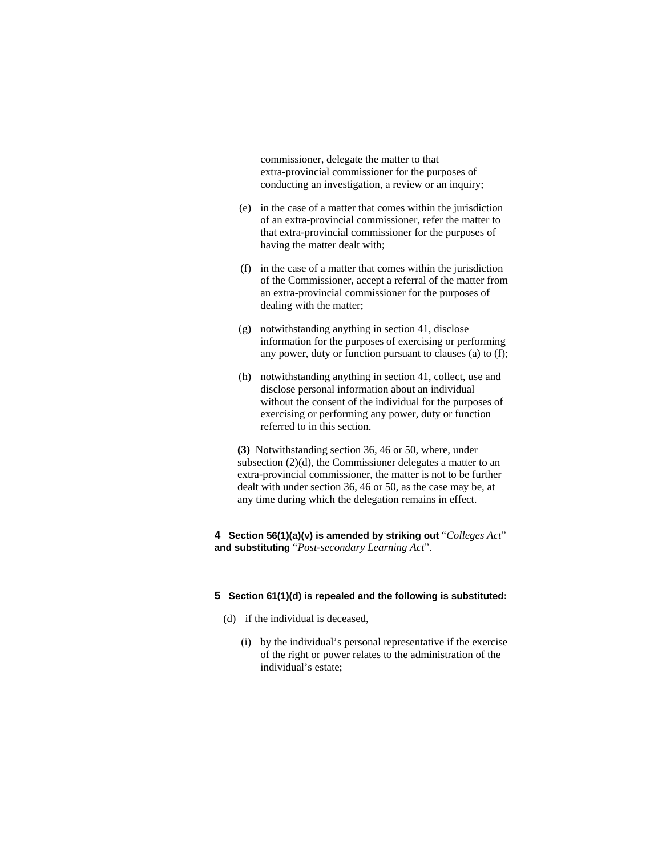commissioner, delegate the matter to that extra-provincial commissioner for the purposes of conducting an investigation, a review or an inquiry;

- (e) in the case of a matter that comes within the jurisdiction of an extra-provincial commissioner, refer the matter to that extra-provincial commissioner for the purposes of having the matter dealt with;
- (f) in the case of a matter that comes within the jurisdiction of the Commissioner, accept a referral of the matter from an extra-provincial commissioner for the purposes of dealing with the matter;
- (g) notwithstanding anything in section 41, disclose information for the purposes of exercising or performing any power, duty or function pursuant to clauses (a) to (f);
- (h) notwithstanding anything in section 41, collect, use and disclose personal information about an individual without the consent of the individual for the purposes of exercising or performing any power, duty or function referred to in this section.

**(3)** Notwithstanding section 36, 46 or 50, where, under subsection (2)(d), the Commissioner delegates a matter to an extra-provincial commissioner, the matter is not to be further dealt with under section 36, 46 or 50, as the case may be, at any time during which the delegation remains in effect.

**4 Section 56(1)(a)(v) is amended by striking out** "*Colleges Act*" **and substituting** "*Post-secondary Learning Act*".

## **5 Section 61(1)(d) is repealed and the following is substituted:**

- (d) if the individual is deceased,
	- (i) by the individual's personal representative if the exercise of the right or power relates to the administration of the individual's estate;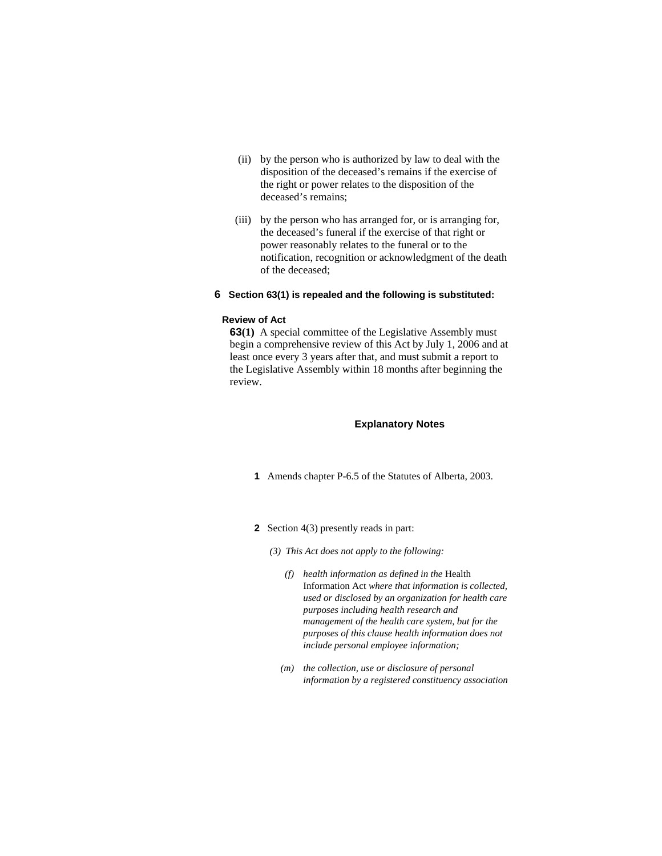- (ii) by the person who is authorized by law to deal with the disposition of the deceased's remains if the exercise of the right or power relates to the disposition of the deceased's remains;
- (iii) by the person who has arranged for, or is arranging for, the deceased's funeral if the exercise of that right or power reasonably relates to the funeral or to the notification, recognition or acknowledgment of the death of the deceased;

#### **6 Section 63(1) is repealed and the following is substituted:**

### **Review of Act**

**63(1)** A special committee of the Legislative Assembly must begin a comprehensive review of this Act by July 1, 2006 and at least once every 3 years after that, and must submit a report to the Legislative Assembly within 18 months after beginning the review.

#### **Explanatory Notes**

- **1** Amends chapter P-6.5 of the Statutes of Alberta, 2003.
- **2** Section 4(3) presently reads in part:
	- *(3) This Act does not apply to the following:* 
		- *(f) health information as defined in the* Health Information Act *where that information is collected, used or disclosed by an organization for health care purposes including health research and management of the health care system, but for the purposes of this clause health information does not include personal employee information;*
		- *(m) the collection, use or disclosure of personal information by a registered constituency association*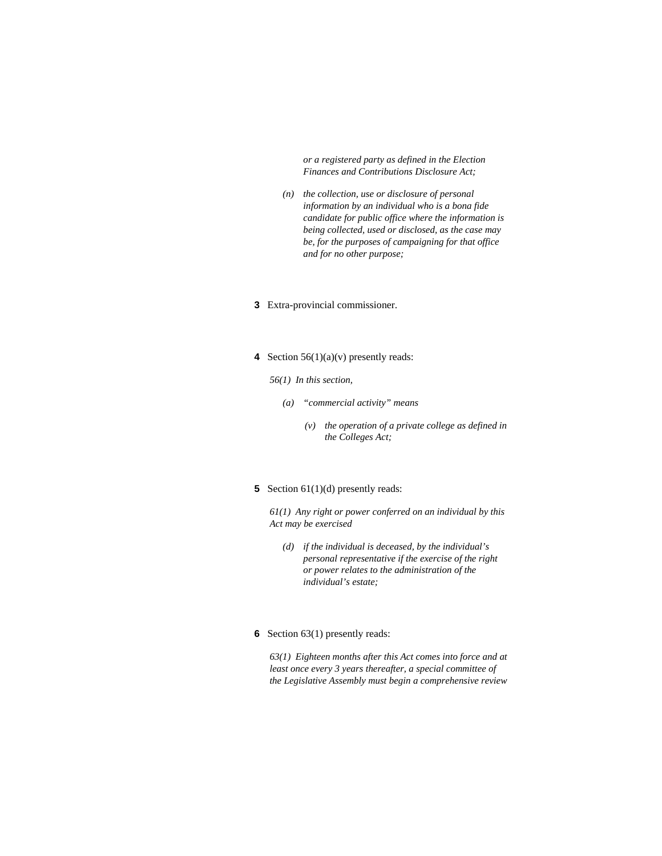*or a registered party as defined in the Election Finances and Contributions Disclosure Act;* 

- *(n) the collection, use or disclosure of personal information by an individual who is a bona fide candidate for public office where the information is being collected, used or disclosed, as the case may be, for the purposes of campaigning for that office and for no other purpose;*
- **3** Extra-provincial commissioner.
- **4** Section 56(1)(a)(v) presently reads:
	- *56(1) In this section,* 
		- *(a) "commercial activity" means* 
			- *(v) the operation of a private college as defined in the Colleges Act;*
- **5** Section 61(1)(d) presently reads:

*61(1) Any right or power conferred on an individual by this Act may be exercised* 

- *(d) if the individual is deceased, by the individual's personal representative if the exercise of the right or power relates to the administration of the individual's estate;*
- **6** Section 63(1) presently reads:

*63(1) Eighteen months after this Act comes into force and at least once every 3 years thereafter, a special committee of the Legislative Assembly must begin a comprehensive review*